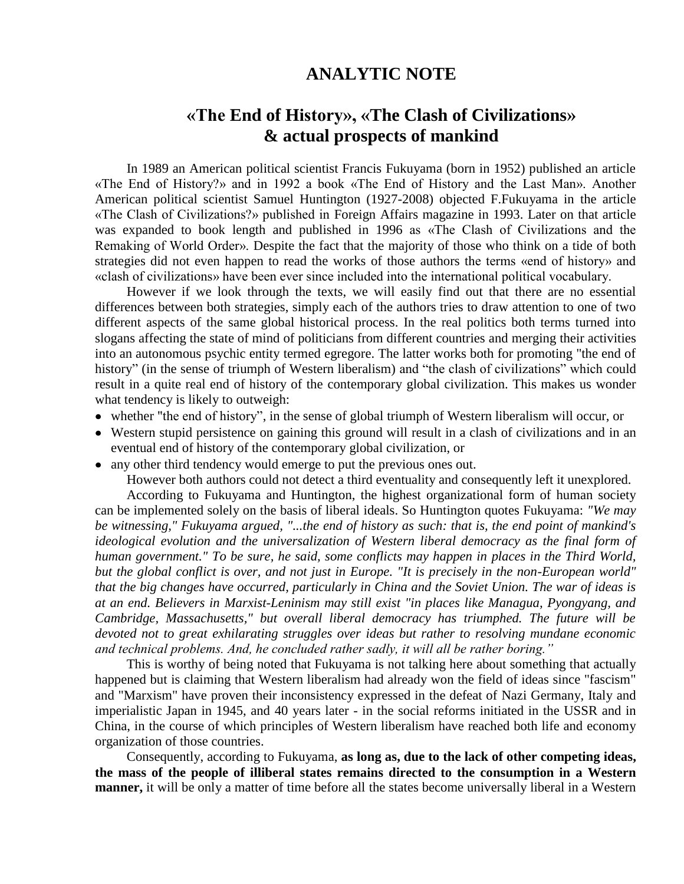## **ANALYTIC NOTE**

## **«The End of History», «The Clash of Civilizations» & actual prospects of mankind**

In 1989 an American political scientist Francis Fukuyama (born in 1952) published an article «The End of History?» and in 1992 a book «The End of History and the Last Man». Another American political scientist Samuel Huntington (1927-2008) objected F.Fukuyama in the article «The Clash of Civilizations?» published in [Foreign Affairs](http://en.wikipedia.org/wiki/Foreign_Affairs) magazine in 1993. Later on that article was expanded to book length and published in 1996 as «The Clash of Civilizations and the Remaking of World Order». Despite the fact that the majority of those who think on a tide of both strategies did not even happen to read the works of those authors the terms «end of history» and «clash of civilizations» have been ever since included into the international political vocabulary.

However if we look through the texts, we will easily find out that there are no essential differences between both strategies, simply each of the authors tries to draw attention to one of two different aspects of the same global historical process. In the real politics both terms turned into slogans affecting the state of mind of politicians from different countries and merging their activities into an autonomous psychic entity termed egregore. The latter works both for promoting "the end of history" (in the sense of triumph of Western liberalism) and "the clash of civilizations" which could result in a quite real end of history of the contemporary global civilization. This makes us wonder what tendency is likely to outweigh:

- whether "the end of history", in the sense of global triumph of Western liberalism will occur, or
- Western stupid persistence on gaining this ground will result in a clash of civilizations and in an eventual end of history of the contemporary global civilization, or
- any other third tendency would emerge to put the previous ones out.

However both authors could not detect a third eventuality and consequently left it unexplored.

According to Fukuyama and Huntington, the highest organizational form of human society can be implemented solely on the basis of liberal ideals. So Huntington quotes Fukuyama: *"We may be witnessing," Fukuyama argued, "...the end of history as such: that is, the end point of mankind's ideological evolution and the universalization of Western liberal democracy as the final form of human government." To be sure, he said, some conflicts may happen in places in the Third World, but the global conflict is over, and not just in Europe. "It is precisely in the non-European world" that the big changes have occurred, particularly in China and the Soviet Union. The war of ideas is at an end. Believers in Marxist-Leninism may still exist "in places like Managua, Pyongyang, and Cambridge, Massachusetts," but overall liberal democracy has triumphed. The future will be devoted not to great exhilarating struggles over ideas but rather to resolving mundane economic and technical problems. And, he concluded rather sadly, it will all be rather boring."*

This is worthy of being noted that Fukuyama is not talking here about something that actually happened but is claiming that Western liberalism had already won the field of ideas since "fascism" and "Marxism" have proven their inconsistency expressed in the defeat of Nazi Germany, Italy and imperialistic Japan in 1945, and 40 years later - in the social reforms initiated in the USSR and in China, in the course of which principles of Western liberalism have reached both life and economy organization of those countries.

Consequently, according to Fukuyama, **as long as, due to the lack of other competing ideas, the mass of the people of illiberal states remains directed to the consumption in a Western manner,** it will be only a matter of time before all the states become universally liberal in a Western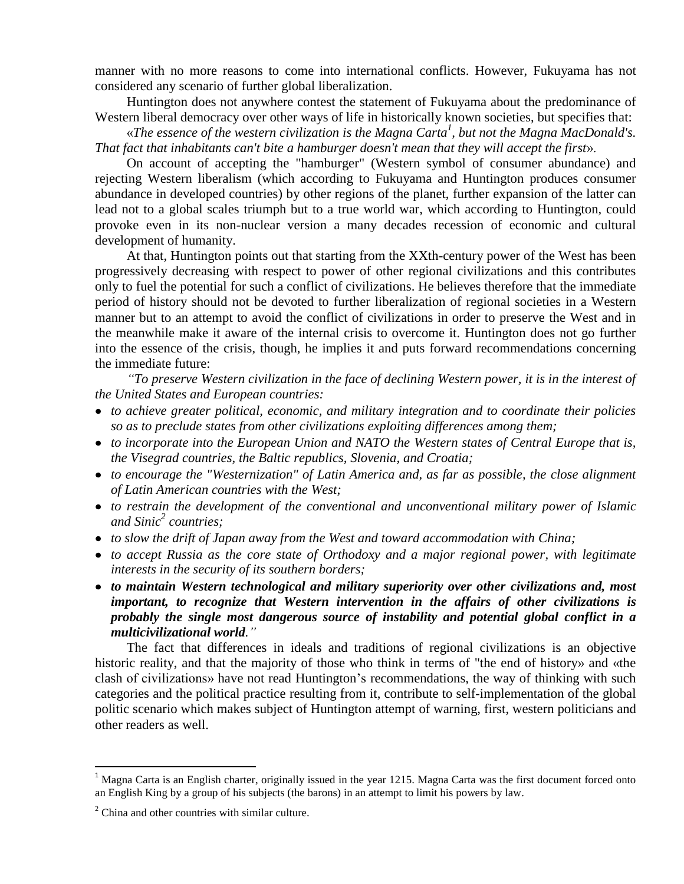manner with no more reasons to come into international conflicts. However, Fukuyama has not considered any scenario of further global liberalization.

Huntington does not anywhere contest the statement of Fukuyama about the predominance of Western liberal democracy over other ways of life in historically known societies, but specifies that:

«*The essence of the western civilization is the Magna Carta<sup>1</sup> , but not the Magna MacDonald's. That fact that inhabitants can't bite a hamburger doesn't mean that they will accept the first*».

On account of accepting the "hamburger" (Western symbol of consumer abundance) and rejecting Western liberalism (which according to Fukuyama and Huntington produces consumer abundance in developed countries) by other regions of the planet, further expansion of the latter can lead not to a global scales triumph but to a true world war, which according to Huntington, could provoke even in its non-nuclear version a many decades recession of economic and cultural development of humanity.

At that, Huntington points out that starting from the XXth-century power of the West has been progressively decreasing with respect to power of other regional civilizations and this contributes only to fuel the potential for such a conflict of civilizations. He believes therefore that the immediate period of history should not be devoted to further liberalization of regional societies in a Western manner but to an attempt to avoid the conflict of civilizations in order to preserve the West and in the meanwhile make it aware of the internal crisis to overcome it. Huntington does not go further into the essence of the crisis, though, he implies it and puts forward recommendations concerning the immediate future:

*"To preserve Western civilization in the face of declining Western power, it is in the interest of the United States and European countries:* 

- *to achieve greater political, economic, and military integration and to coordinate their policies so as to preclude states from other civilizations exploiting differences among them;*
- *to incorporate into the European Union and NATO the Western states of Central Europe that is, the Visegrad countries, the Baltic republics, Slovenia, and Croatia;*
- *to encourage the "Westernization" of Latin America and, as far as possible, the close alignment of Latin American countries with the West;*
- *to restrain the development of the conventional and unconventional military power of Islamic and Sinic<sup>2</sup> countries;*
- *to slow the drift of Japan away from the West and toward accommodation with China;*
- *to accept Russia as the core state of Orthodoxy and a major regional power, with legitimate interests in the security of its southern borders;*
- *to maintain Western technological and military superiority over other civilizations and, most important, to recognize that Western intervention in the affairs of other civilizations is probably the single most dangerous source of instability and potential global conflict in a multicivilizational world."*

The fact that differences in ideals and traditions of regional civilizations is an objective historic reality, and that the majority of those who think in terms of "the end of history» and «the clash of civilizations» have not read Huntington's recommendations, the way of thinking with such categories and the political practice resulting from it, contribute to self-implementation of the global politic scenario which makes subject of Huntington attempt of warning, first, western politicians and other readers as well.

 $\overline{a}$ 

 $1$  Magna Carta is an [English](http://en.wikipedia.org/wiki/Kingdom_of_England) [charter,](http://en.wikipedia.org/wiki/Charter) originally issued in the year 1215. Magna Carta was the first document forced onto an [English King](http://en.wikipedia.org/wiki/English_King) by a group of his subjects (the barons) in an attempt to limit his powers by law.

 $2$  China and other countries with similar culture.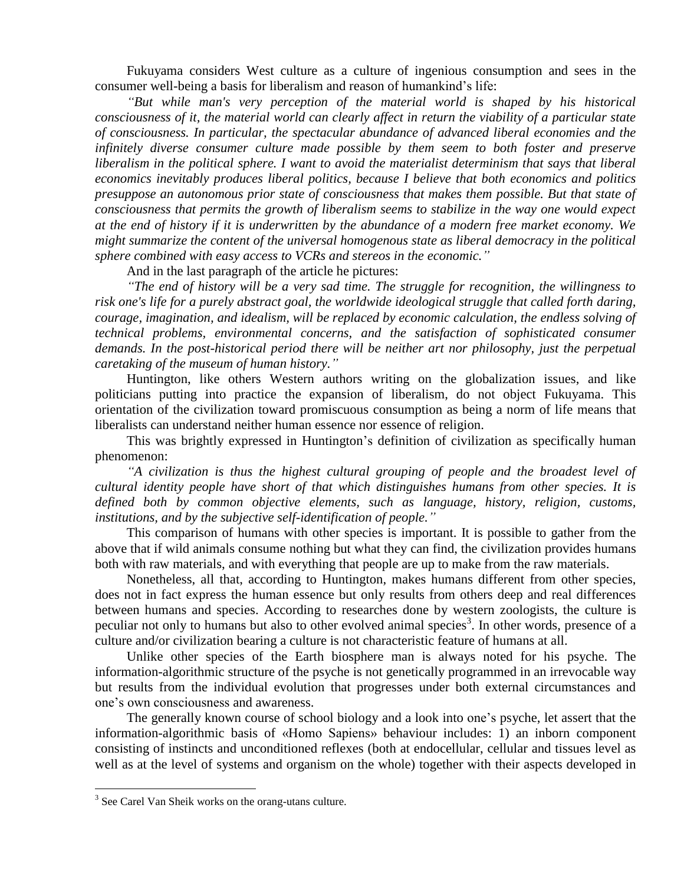Fukuyama considers West culture as a culture of ingenious consumption and sees in the consumer well-being a basis for liberalism and reason of humankind's life:

*"But while man's very perception of the material world is shaped by his historical consciousness of it, the material world can clearly affect in return the viability of a particular state of consciousness. In particular, the spectacular abundance of advanced liberal economies and the infinitely diverse consumer culture made possible by them seem to both foster and preserve liberalism in the political sphere. I want to avoid the materialist determinism that says that liberal economics inevitably produces liberal politics, because I believe that both economics and politics presuppose an autonomous prior state of consciousness that makes them possible. But that state of consciousness that permits the growth of liberalism seems to stabilize in the way one would expect at the end of history if it is underwritten by the abundance of a modern free market economy. We might summarize the content of the universal homogenous state as liberal democracy in the political sphere combined with easy access to VCRs and stereos in the economic."*

And in the last paragraph of the article he pictures:

*"The end of history will be a very sad time. The struggle for recognition, the willingness to risk one's life for a purely abstract goal, the worldwide ideological struggle that called forth daring, courage, imagination, and idealism, will be replaced by economic calculation, the endless solving of technical problems, environmental concerns, and the satisfaction of sophisticated consumer demands. In the post-historical period there will be neither art nor philosophy, just the perpetual caretaking of the museum of human history."*

Huntington, like others Western authors writing on the globalization issues, and like politicians putting into practice the expansion of liberalism, do not object Fukuyama. This orientation of the civilization toward promiscuous consumption as being a norm of life means that liberalists can understand neither human essence nor essence of religion.

This was brightly expressed in Huntington's definition of civilization as specifically human phenomenon:

*"A civilization is thus the highest cultural grouping of people and the broadest level of cultural identity people have short of that which distinguishes humans from other species. It is defined both by common objective elements, such as language, history, religion, customs, institutions, and by the subjective self-identification of people."*

This comparison of humans with other species is important. It is possible to gather from the above that if wild animals consume nothing but what they can find, the civilization provides humans both with raw materials, and with everything that people are up to make from the raw materials.

Nonetheless, all that, according to Huntington, makes humans different from other species, does not in fact express the human essence but only results from others deep and real differences between humans and species. According to researches done by western zoologists, the culture is peculiar not only to humans but also to other evolved animal species<sup>3</sup>. In other words, presence of a culture and/or civilization bearing a culture is not characteristic feature of humans at all.

Unlike other species of the Earth biosphere man is always noted for his psyche. The information-algorithmic structure of the psyche is not genetically programmed in an irrevocable way but results from the individual evolution that progresses under both external circumstances and one's own consciousness and awareness.

The generally known course of school biology and a look into one's psyche, let assert that the information-algorithmic basis of «Homo Sapiens» behaviour includes: 1) an inborn component consisting of instincts and unconditioned reflexes (both at endocellular, cellular and tissues level as well as at the level of systems and organism on the whole) together with their aspects developed in

<sup>&</sup>lt;sup>3</sup> See Carel Van Sheik works on the orang-utans culture.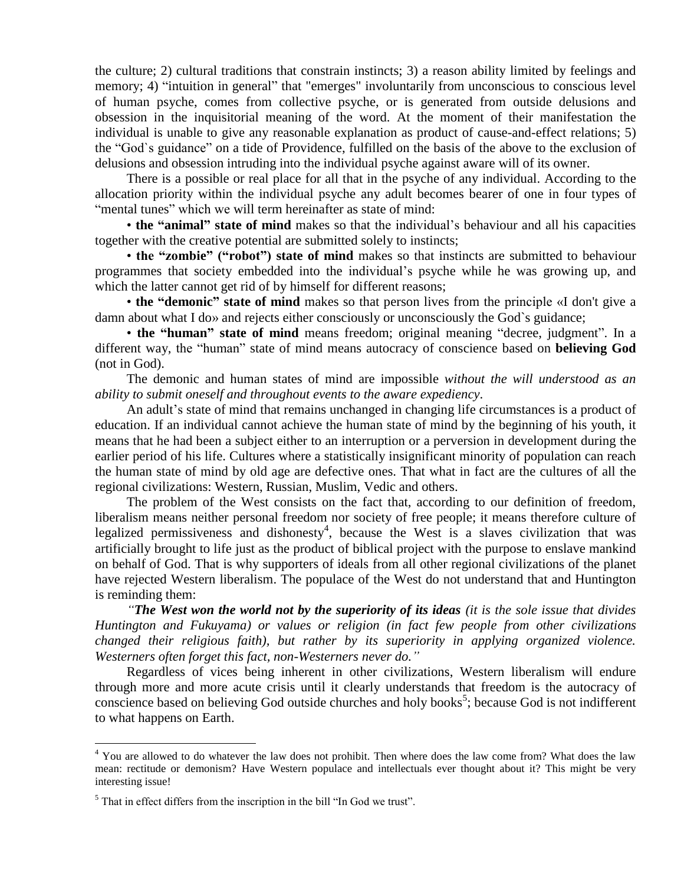the culture; 2) cultural traditions that constrain instincts; 3) a reason ability limited by feelings and memory; 4) "intuition in general" that "emerges" involuntarily from unconscious to conscious level of human psyche, comes from collective psyche, or is generated from outside delusions and obsession in the inquisitorial meaning of the word. At the moment of their manifestation the individual is unable to give any reasonable explanation as product of cause-and-effect relations; 5) the "God`s guidance" on a tide of Providence, fulfilled on the basis of the above to the exclusion of delusions and obsession intruding into the individual psyche against aware will of its owner.

There is a possible or real place for all that in the psyche of any individual. According to the allocation priority within the individual psyche any adult becomes bearer of one in four types of "mental tunes" which we will term hereinafter as state of mind:

• **the "animal" state of mind** makes so that the individual's behaviour and all his capacities together with the creative potential are submitted solely to instincts;

• **the "zombie" ("robot") state of mind** makes so that instincts are submitted to behaviour programmes that society embedded into the individual's psyche while he was growing up, and which the latter cannot get rid of by himself for different reasons;

• **the "demonic" state of mind** makes so that person lives from the principle «I don't give a damn about what I do» and rejects either consciously or unconsciously the God`s guidance;

• **the "human" state of mind** means freedom; original meaning "decree, judgment". In a different way, the "human" state of mind means autocracy of conscience based on **believing God** (not in God).

The demonic and human states of mind are impossible *without the will understood as an ability to submit oneself and throughout events to the aware expediency*.

An adult's state of mind that remains unchanged in changing life circumstances is a product of education. If an individual cannot achieve the human state of mind by the beginning of his youth, it means that he had been a subject either to an interruption or a perversion in development during the earlier period of his life. Cultures where a statistically insignificant minority of population can reach the human state of mind by old age are defective ones. That what in fact are the cultures of all the regional civilizations: Western, Russian, Muslim, Vedic and others.

The problem of the West consists on the fact that, according to our definition of freedom, liberalism means neither personal freedom nor society of free people; it means therefore culture of legalized permissiveness and dishonesty<sup>4</sup>, because the West is a slaves civilization that was artificially brought to life just as the product of biblical project with the purpose to enslave mankind on behalf of God. That is why supporters of ideals from all other regional civilizations of the planet have rejected Western liberalism. The populace of the West do not understand that and Huntington is reminding them:

*"The West won the world not by the superiority of its ideas (it is the sole issue that divides Huntington and Fukuyama) or values or religion (in fact few people from other civilizations changed their religious faith), but rather by its superiority in applying organized violence. Westerners often forget this fact, non-Westerners never do."*

Regardless of vices being inherent in other civilizations, Western liberalism will endure through more and more acute crisis until it clearly understands that freedom is the autocracy of conscience based on believing God outside churches and holy books<sup>5</sup>; because God is not indifferent to what happens on Earth.

 $\overline{a}$ 

<sup>&</sup>lt;sup>4</sup> You are allowed to do whatever the law does not prohibit. Then where does the law come from? What does the law mean: rectitude or demonism? Have Western populace and intellectuals ever thought about it? This might be very interesting issue!

 $<sup>5</sup>$  That in effect differs from the inscription in the bill "In God we trust".</sup>